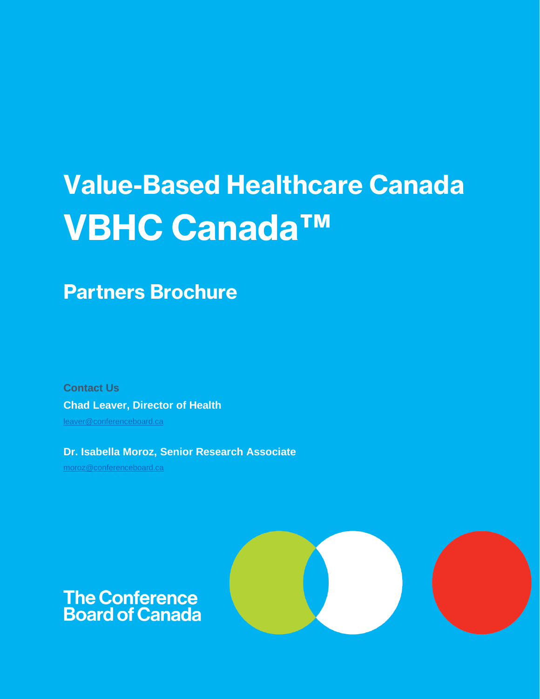# Value-Based Healthcare Canada VBHC Canada™

Partners Brochure

**Contact Us Chad Leaver, Director of Health** [leaver@conferenceboard.ca](mailto:leaver@conferenceboard.ca)

**Dr. Isabella Moroz, Senior Research Associate** [moroz@conferenceboard.ca](mailto:moroz@conferenceboard.ca)



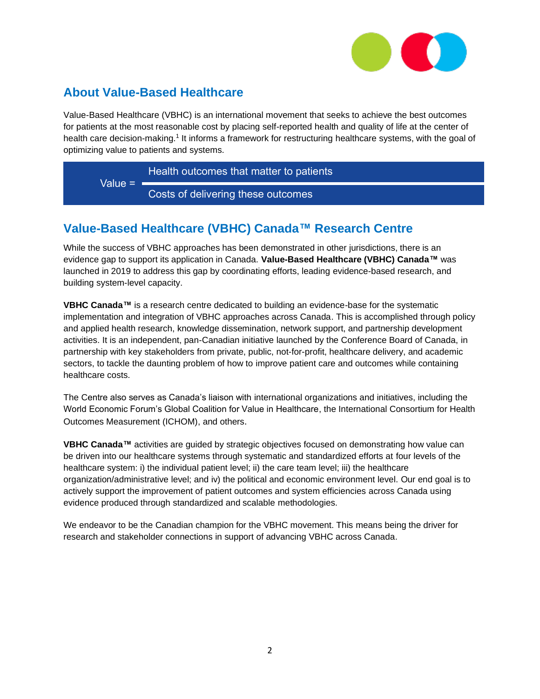

## **About Value-Based Healthcare**

Value-Based Healthcare (VBHC) is an international movement that seeks to achieve the best outcomes for patients at the most reasonable cost by placing self-reported health and quality of life at the center of health care decision-making.<sup>1</sup> It informs a framework for restructuring healthcare systems, with the goal of optimizing value to patients and systems.

Value  $=$   $=$ Health outcomes that matter to patients Costs of delivering these outcomes

## **Value-Based Healthcare (VBHC) Canada™ Research Centre**

While the success of VBHC approaches has been demonstrated in other jurisdictions, there is an evidence gap to support its application in Canada. **Value-Based Healthcare (VBHC) Canada™** was launched in 2019 to address this gap by coordinating efforts, leading evidence-based research, and building system-level capacity.

**VBHC Canada™** is a research centre dedicated to building an evidence-base for the systematic implementation and integration of VBHC approaches across Canada. This is accomplished through policy and applied health research, knowledge dissemination, network support, and partnership development activities. It is an independent, pan-Canadian initiative launched by the Conference Board of Canada, in partnership with key stakeholders from private, public, not-for-profit, healthcare delivery, and academic sectors, to tackle the daunting problem of how to improve patient care and outcomes while containing healthcare costs.

The Centre also serves as Canada's liaison with international organizations and initiatives, including the World Economic Forum's Global Coalition for Value in Healthcare, the International Consortium for Health Outcomes Measurement (ICHOM), and others.

**VBHC Canada™** activities are guided by strategic objectives focused on demonstrating how value can be driven into our healthcare systems through systematic and standardized efforts at four levels of the healthcare system: i) the individual patient level; ii) the care team level; iii) the healthcare organization/administrative level; and iv) the political and economic environment level. Our end goal is to actively support the improvement of patient outcomes and system efficiencies across Canada using evidence produced through standardized and scalable methodologies.

We endeavor to be the Canadian champion for the VBHC movement. This means being the driver for research and stakeholder connections in support of advancing VBHC across Canada.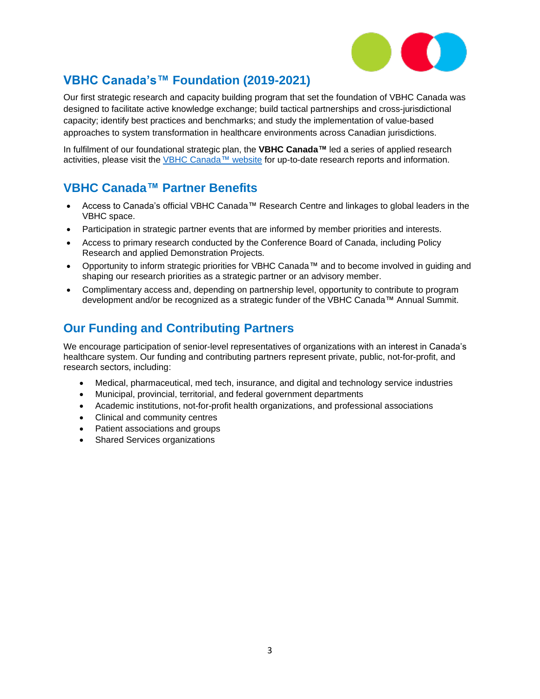

## **VBHC Canada's™ Foundation (2019-2021)**

Our first strategic research and capacity building program that set the foundation of VBHC Canada was designed to facilitate active knowledge exchange; build tactical partnerships and cross-jurisdictional capacity; identify best practices and benchmarks; and study the implementation of value-based approaches to system transformation in healthcare environments across Canadian jurisdictions.

In fulfilment of our foundational strategic plan, the **VBHC Canada™** led a series of applied research activities, please visit the [VBHC Canada™ website](https://www.conferenceboard.ca/networks/vbhc/membership) for up-to-date research reports and information.

## **VBHC Canada™ Partner Benefits**

- Access to Canada's official VBHC Canada™ Research Centre and linkages to global leaders in the VBHC space.
- Participation in strategic partner events that are informed by member priorities and interests.
- Access to primary research conducted by the Conference Board of Canada, including Policy Research and applied Demonstration Projects.
- Opportunity to inform strategic priorities for VBHC Canada™ and to become involved in guiding and shaping our research priorities as a strategic partner or an advisory member.
- Complimentary access and, depending on partnership level, opportunity to contribute to program development and/or be recognized as a strategic funder of the VBHC Canada™ Annual Summit.

## **Our Funding and Contributing Partners**

We encourage participation of senior-level representatives of organizations with an interest in Canada's healthcare system. Our funding and contributing partners represent private, public, not-for-profit, and research sectors, including:

- Medical, pharmaceutical, med tech, insurance, and digital and technology service industries
- Municipal, provincial, territorial, and federal government departments
- Academic institutions, not-for-profit health organizations, and professional associations
- Clinical and community centres
- Patient associations and groups
- Shared Services organizations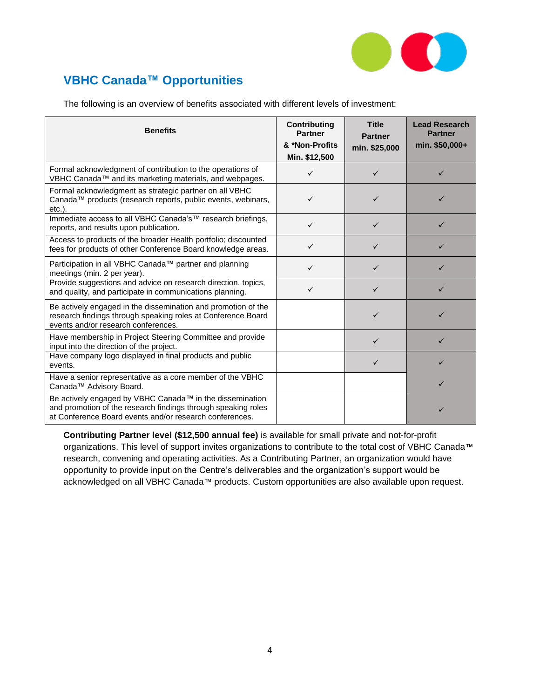

# **VBHC Canada™ Opportunities**

The following is an overview of benefits associated with different levels of investment:

| <b>Benefits</b>                                                                                                                                                                      | Contributing<br><b>Partner</b><br>& *Non-Profits<br>Min. \$12,500 | <b>Title</b><br><b>Partner</b><br>min. \$25,000 | <b>Lead Research</b><br><b>Partner</b><br>min. \$50,000+ |
|--------------------------------------------------------------------------------------------------------------------------------------------------------------------------------------|-------------------------------------------------------------------|-------------------------------------------------|----------------------------------------------------------|
| Formal acknowledgment of contribution to the operations of<br>VBHC Canada™ and its marketing materials, and webpages.                                                                | ✓                                                                 | ✓                                               |                                                          |
| Formal acknowledgment as strategic partner on all VBHC<br>Canada™ products (research reports, public events, webinars,<br>$etc.$ ).                                                  | ✓                                                                 | ✓                                               |                                                          |
| Immediate access to all VBHC Canada's™ research briefings,<br>reports, and results upon publication.                                                                                 | $\checkmark$                                                      | $\checkmark$                                    | ✓                                                        |
| Access to products of the broader Health portfolio; discounted<br>fees for products of other Conference Board knowledge areas.                                                       | ✓                                                                 | $\checkmark$                                    |                                                          |
| Participation in all VBHC Canada™ partner and planning<br>meetings (min. 2 per year).                                                                                                | ✓                                                                 | ✓                                               |                                                          |
| Provide suggestions and advice on research direction, topics,<br>and quality, and participate in communications planning.                                                            | ✓                                                                 | ✓                                               |                                                          |
| Be actively engaged in the dissemination and promotion of the<br>research findings through speaking roles at Conference Board<br>events and/or research conferences.                 |                                                                   | ✓                                               | ✓                                                        |
| Have membership in Project Steering Committee and provide<br>input into the direction of the project.                                                                                |                                                                   | $\checkmark$                                    |                                                          |
| Have company logo displayed in final products and public<br>events.                                                                                                                  |                                                                   | $\checkmark$                                    | ✓                                                        |
| Have a senior representative as a core member of the VBHC<br>Canada™ Advisory Board.                                                                                                 |                                                                   |                                                 |                                                          |
| Be actively engaged by VBHC Canada™ in the dissemination<br>and promotion of the research findings through speaking roles<br>at Conference Board events and/or research conferences. |                                                                   |                                                 | ✓                                                        |

**Contributing Partner level (\$12,500 annual fee)** is available for small private and not-for-profit organizations. This level of support invites organizations to contribute to the total cost of VBHC Canada™ research, convening and operating activities. As a Contributing Partner, an organization would have opportunity to provide input on the Centre's deliverables and the organization's support would be acknowledged on all VBHC Canada™ products. Custom opportunities are also available upon request.